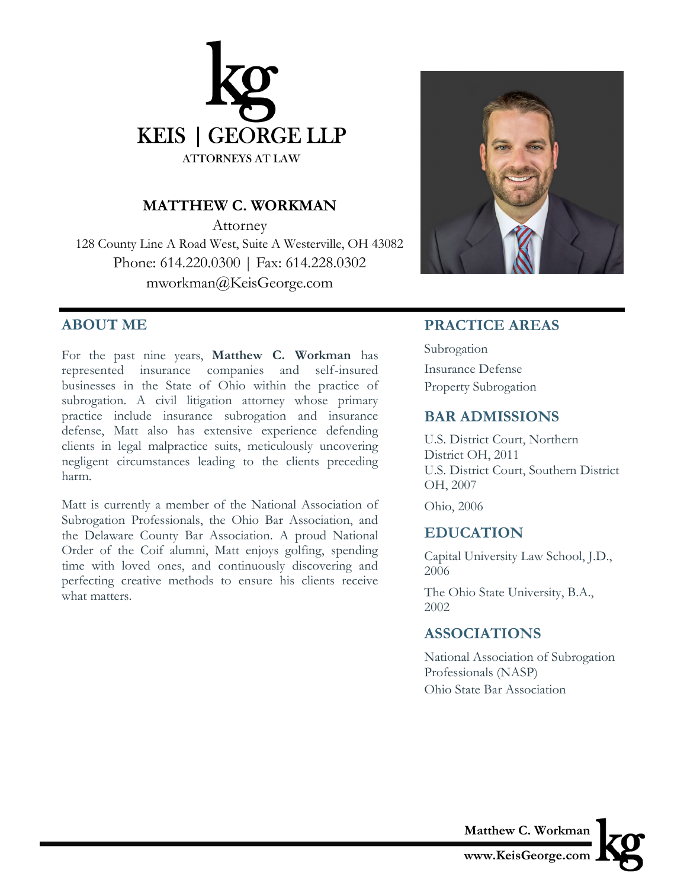

#### **MATTHEW C. WORKMAN**

Attorney 128 County Line A Road West, Suite A Westerville, OH 43082 Phone: 614.220.0300 | Fax: 614.228.0302 mworkman@KeisGeorge.com

#### **ABOUT ME**

For the past nine years, **Matthew C. Workman** has represented insurance companies and self-insured businesses in the State of Ohio within the practice of subrogation. A civil litigation attorney whose primary practice include insurance subrogation and insurance defense, Matt also has extensive experience defending clients in legal malpractice suits, meticulously uncovering negligent circumstances leading to the clients preceding harm.

Matt is currently a member of the National Association of Subrogation Professionals, the Ohio Bar Association, and the Delaware County Bar Association. A proud National Order of the Coif alumni, Matt enjoys golfing, spending time with loved ones, and continuously discovering and perfecting creative methods to ensure his clients receive what matters.



# **PRACTICE AREAS**

Subrogation Insurance Defense Property Subrogation

#### **BAR ADMISSIONS**

U.S. District Court, Northern District OH, 2011 U.S. District Court, Southern District OH, 2007

Ohio, 2006

# **EDUCATION**

Capital University Law School, J.D., 2006

The Ohio State University, B.A., 2002

# **ASSOCIATIONS**

National Association of Subrogation Professionals (NASP) Ohio State Bar Association